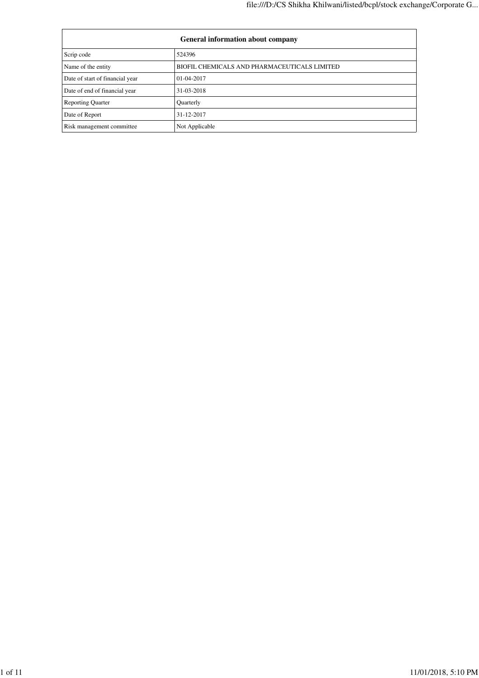| <b>General information about company</b> |                                              |  |
|------------------------------------------|----------------------------------------------|--|
| Scrip code                               | 524396                                       |  |
| Name of the entity                       | BIOFIL CHEMICALS AND PHARMACEUTICALS LIMITED |  |
| Date of start of financial year          | $01-04-2017$                                 |  |
| Date of end of financial year            | 31-03-2018                                   |  |
| <b>Reporting Quarter</b>                 | Quarterly                                    |  |
| Date of Report                           | 31-12-2017                                   |  |
| Risk management committee                | Not Applicable                               |  |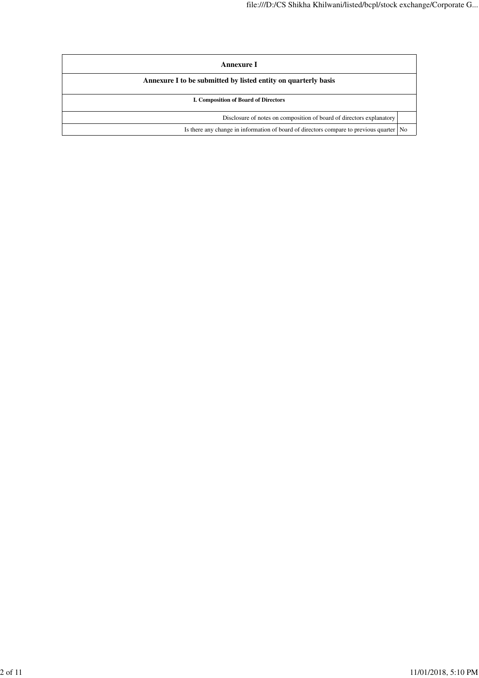| Annexure I                                                                              |  |  |
|-----------------------------------------------------------------------------------------|--|--|
| Annexure I to be submitted by listed entity on quarterly basis                          |  |  |
| <b>I. Composition of Board of Directors</b>                                             |  |  |
| Disclosure of notes on composition of board of directors explanatory                    |  |  |
| Is there any change in information of board of directors compare to previous quarter No |  |  |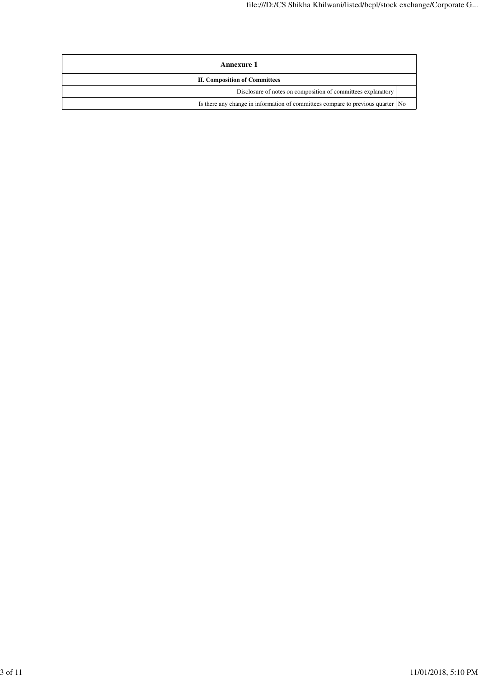| Annexure 1                                                                      |  |
|---------------------------------------------------------------------------------|--|
| <b>II. Composition of Committees</b>                                            |  |
| Disclosure of notes on composition of committees explanatory                    |  |
| Is there any change in information of committees compare to previous quarter No |  |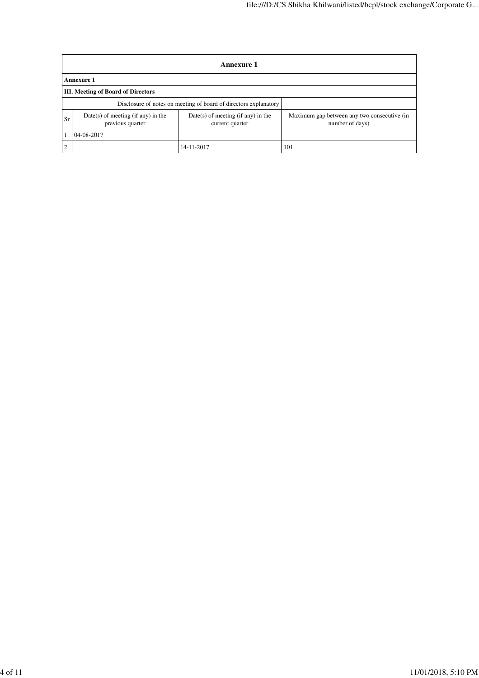|    | Annexure 1                                                       |                                                         |                                                                |  |  |
|----|------------------------------------------------------------------|---------------------------------------------------------|----------------------------------------------------------------|--|--|
|    | <b>Annexure 1</b>                                                |                                                         |                                                                |  |  |
|    | <b>III.</b> Meeting of Board of Directors                        |                                                         |                                                                |  |  |
|    | Disclosure of notes on meeting of board of directors explanatory |                                                         |                                                                |  |  |
| Sr | $Date(s)$ of meeting (if any) in the<br>previous quarter         | $Date(s)$ of meeting (if any) in the<br>current quarter | Maximum gap between any two consecutive (in<br>number of days) |  |  |
|    | 04-08-2017                                                       |                                                         |                                                                |  |  |
|    |                                                                  | 14-11-2017                                              | 101                                                            |  |  |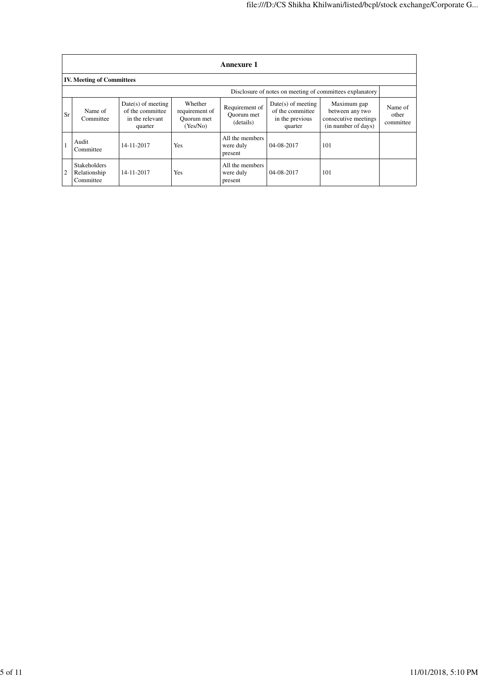| <b>Annexure 1</b>                                        |                                                  |                                                                        |                                                     |                                           |                                                                        |                                                                               |                               |
|----------------------------------------------------------|--------------------------------------------------|------------------------------------------------------------------------|-----------------------------------------------------|-------------------------------------------|------------------------------------------------------------------------|-------------------------------------------------------------------------------|-------------------------------|
|                                                          | <b>IV. Meeting of Committees</b>                 |                                                                        |                                                     |                                           |                                                                        |                                                                               |                               |
| Disclosure of notes on meeting of committees explanatory |                                                  |                                                                        |                                                     |                                           |                                                                        |                                                                               |                               |
| Sr                                                       | Name of<br>Committee                             | $Date(s)$ of meeting<br>of the committee<br>in the relevant<br>quarter | Whether<br>requirement of<br>Ouorum met<br>(Yes/No) | Requirement of<br>Ouorum met<br>(details) | $Date(s)$ of meeting<br>of the committee<br>in the previous<br>quarter | Maximum gap<br>between any two<br>consecutive meetings<br>(in number of days) | Name of<br>other<br>committee |
|                                                          | Audit<br>Committee                               | 14-11-2017                                                             | <b>Yes</b>                                          | All the members<br>were duly<br>present   | 04-08-2017                                                             | 101                                                                           |                               |
| 2                                                        | <b>Stakeholders</b><br>Relationship<br>Committee | 14-11-2017                                                             | Yes                                                 | All the members<br>were duly<br>present   | 04-08-2017                                                             | 101                                                                           |                               |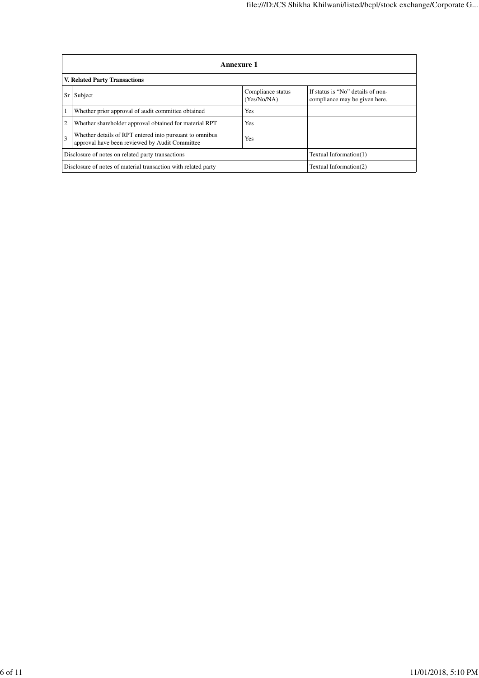|                                                                | <b>Annexure 1</b>                                                                                                       |                                  |                                                                    |  |
|----------------------------------------------------------------|-------------------------------------------------------------------------------------------------------------------------|----------------------------------|--------------------------------------------------------------------|--|
| V. Related Party Transactions                                  |                                                                                                                         |                                  |                                                                    |  |
| Sr                                                             | Subject                                                                                                                 | Compliance status<br>(Yes/No/NA) | If status is "No" details of non-<br>compliance may be given here. |  |
|                                                                | Whether prior approval of audit committee obtained                                                                      | Yes                              |                                                                    |  |
| $\overline{2}$                                                 | Whether shareholder approval obtained for material RPT<br>Yes                                                           |                                  |                                                                    |  |
| 3                                                              | Whether details of RPT entered into pursuant to omnibus<br><b>Yes</b><br>approval have been reviewed by Audit Committee |                                  |                                                                    |  |
|                                                                | Disclosure of notes on related party transactions                                                                       | Textual Information(1)           |                                                                    |  |
| Disclosure of notes of material transaction with related party |                                                                                                                         |                                  | Textual Information(2)                                             |  |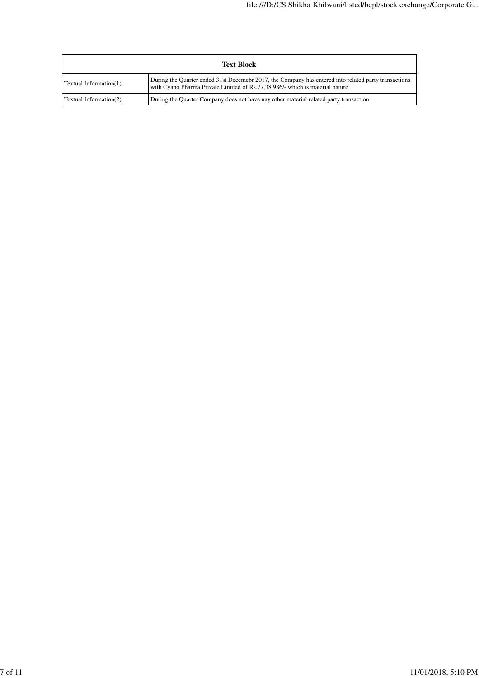| <b>Text Block</b>      |                                                                                                                                                                                      |
|------------------------|--------------------------------------------------------------------------------------------------------------------------------------------------------------------------------------|
| Textual Information(1) | During the Quarter ended 31st Decemebr 2017, the Company has entered into related party transactions<br>with Cyano Pharma Private Limited of Rs.77,38,986/- which is material nature |
| Textual Information(2) | During the Quarter Company does not have nay other material related party transaction.                                                                                               |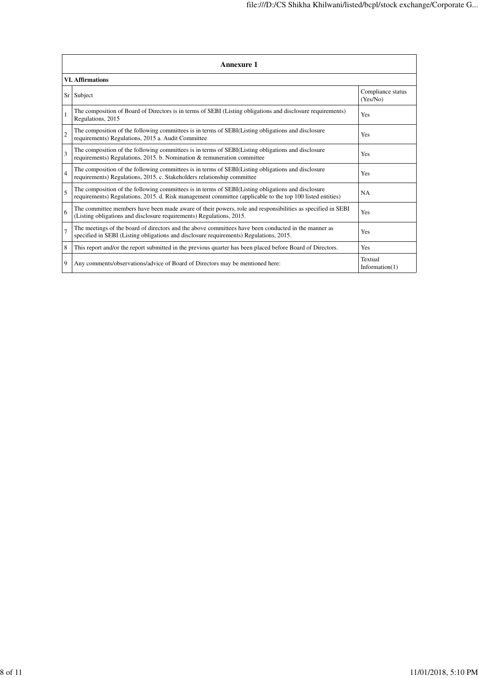|                 | <b>Annexure 1</b>                                                                                                                                                                                               |                               |  |
|-----------------|-----------------------------------------------------------------------------------------------------------------------------------------------------------------------------------------------------------------|-------------------------------|--|
|                 | <b>VI.</b> Affirmations                                                                                                                                                                                         |                               |  |
| Sr <sub>1</sub> | Subject                                                                                                                                                                                                         | Compliance status<br>(Yes/No) |  |
|                 | The composition of Board of Directors is in terms of SEBI (Listing obligations and disclosure requirements)<br>Regulations, 2015                                                                                | Yes                           |  |
| $\overline{2}$  | The composition of the following committees is in terms of SEBI(Listing obligations and disclosure<br>requirements) Regulations, 2015 a. Audit Committee                                                        | Yes                           |  |
| 3               | The composition of the following committees is in terms of SEBI(Listing obligations and disclosure<br>requirements) Regulations, 2015. b. Nomination & remuneration committee                                   | Yes                           |  |
| $\overline{4}$  | The composition of the following committees is in terms of SEBI(Listing obligations and disclosure<br>requirements) Regulations, 2015. c. Stakeholders relationship committee                                   | Yes                           |  |
| 5               | The composition of the following committees is in terms of SEBI(Listing obligations and disclosure<br>requirements) Regulations, 2015. d. Risk management committee (applicable to the top 100 listed entities) | NA                            |  |
| 6               | The committee members have been made aware of their powers, role and responsibilities as specified in SEBI<br>(Listing obligations and disclosure requirements) Regulations, 2015.                              | Yes                           |  |
| $\overline{7}$  | The meetings of the board of directors and the above committees have been conducted in the manner as<br>specified in SEBI (Listing obligations and disclosure requirements) Regulations, 2015.                  | Yes                           |  |
| 8               | This report and/or the report submitted in the previous quarter has been placed before Board of Directors.                                                                                                      | Yes                           |  |
| 9               | Any comments/observations/advice of Board of Directors may be mentioned here:                                                                                                                                   | Textual<br>Information $(1)$  |  |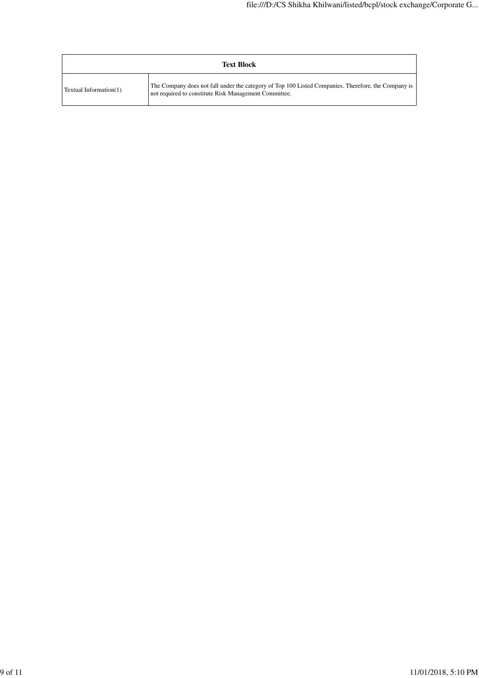| <b>Text Block</b>      |                                                                                                                                                              |  |
|------------------------|--------------------------------------------------------------------------------------------------------------------------------------------------------------|--|
| Textual Information(1) | The Company does not fall under the category of Top 100 Listed Companies. Therefore, the Company is<br>not required to constitute Risk Management Committee. |  |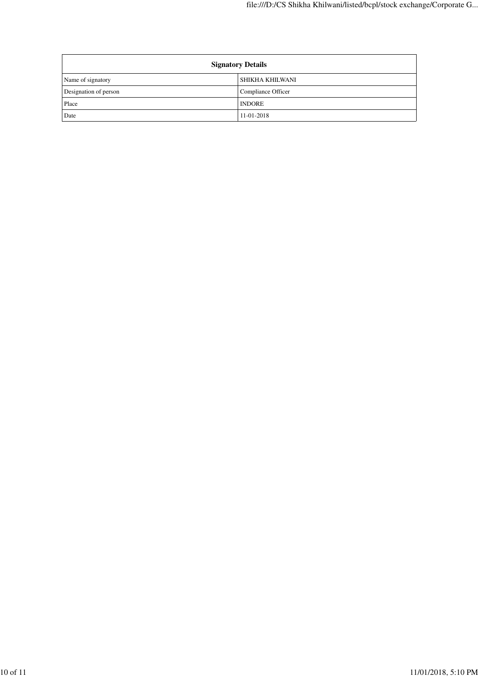| <b>Signatory Details</b> |                    |  |
|--------------------------|--------------------|--|
| Name of signatory        | SHIKHA KHILWANI    |  |
| Designation of person    | Compliance Officer |  |
| Place                    | <b>INDORE</b>      |  |
| Date                     | 11-01-2018         |  |